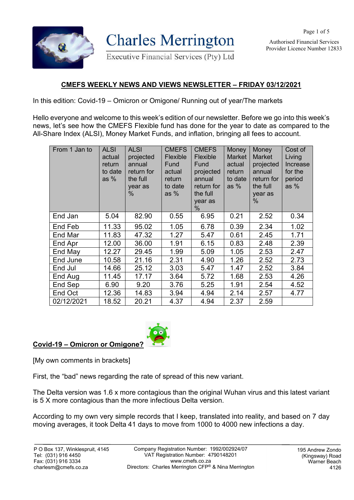

**Charles Merrington** 

Executive Financial Services (Pty) Ltd

Authorised Financial Services Provider Licence Number 12833

## **CMEFS WEEKLY NEWS AND VIEWS NEWSLETTER – FRIDAY 03/12/2021**

In this edition: Covid-19 – Omicron or Omigone/ Running out of year/The markets

Hello everyone and welcome to this week's edition of our newsletter. Before we go into this week's news, let's see how the CMEFS Flexible fund has done for the year to date as compared to the All-Share Index (ALSI), Money Market Funds, and inflation, bringing all fees to account.

| From 1 Jan to | <b>ALSI</b><br>actual<br>return<br>to date<br>as $%$ | <b>ALSI</b><br>projected<br>annual<br>return for<br>the full<br>year as<br>$\%$ | <b>CMEFS</b><br>Flexible<br>Fund<br>actual<br>return<br>to date<br>as $%$ | <b>CMEFS</b><br>Flexible<br>Fund<br>projected<br>annual<br>return for<br>the full<br>year as<br>$\%$ | Money<br>Market<br>actual<br>return<br>to date<br>as $%$ | Money<br><b>Market</b><br>projected<br>annual<br>return for<br>the full<br>year as<br>% | Cost of<br>Living<br>Increase<br>for the<br>period<br>as $%$ |
|---------------|------------------------------------------------------|---------------------------------------------------------------------------------|---------------------------------------------------------------------------|------------------------------------------------------------------------------------------------------|----------------------------------------------------------|-----------------------------------------------------------------------------------------|--------------------------------------------------------------|
| End Jan       | 5.04                                                 | 82.90                                                                           | 0.55                                                                      | 6.95                                                                                                 | 0.21                                                     | 2.52                                                                                    | 0.34                                                         |
| End Feb       | 11.33                                                | 95.02                                                                           | 1.05                                                                      | 6.78                                                                                                 | 0.39                                                     | 2.34                                                                                    | 1.02                                                         |
| End Mar       | 11.83                                                | 47.32                                                                           | 1.27                                                                      | 5.47                                                                                                 | 0.61                                                     | 2.45                                                                                    | 1.71                                                         |
| End Apr       | 12.00                                                | 36.00                                                                           | 1.91                                                                      | 6.15                                                                                                 | 0.83                                                     | 2.48                                                                                    | 2.39                                                         |
| End May       | 12.27                                                | 29.45                                                                           | 1.99                                                                      | 5.09                                                                                                 | 1.05                                                     | 2.53                                                                                    | 2.47                                                         |
| End June      | 10.58                                                | 21.16                                                                           | 2.31                                                                      | 4.90                                                                                                 | 1.26                                                     | 2.52                                                                                    | 2.73                                                         |
| End Jul       | 14.66                                                | 25.12                                                                           | 3.03                                                                      | 5.47                                                                                                 | 1.47                                                     | 2.52                                                                                    | 3.84                                                         |
| End Aug       | 11.45                                                | 17.17                                                                           | 3.64                                                                      | 5.72                                                                                                 | 1.68                                                     | 2.53                                                                                    | 4.26                                                         |
| End Sep       | 6.90                                                 | 9.20                                                                            | 3.76                                                                      | 5.25                                                                                                 | 1.91                                                     | 2.54                                                                                    | 4.52                                                         |
| End Oct       | 12.36                                                | 14.83                                                                           | 3.94                                                                      | 4.94                                                                                                 | 2.14                                                     | 2.57                                                                                    | 4.77                                                         |
| 02/12/2021    | 18.52                                                | 20.21                                                                           | 4.37                                                                      | 4.94                                                                                                 | 2.37                                                     | 2.59                                                                                    |                                                              |



## **Covid-19 – Omicron or Omigone?**

[My own comments in brackets]

First, the "bad" news regarding the rate of spread of this new variant.

The Delta version was 1.6 x more contagious than the original Wuhan virus and this latest variant is 5 X more contagious than the more infectious Delta version.

According to my own very simple records that I keep, translated into reality, and based on 7 day moving averages, it took Delta 41 days to move from 1000 to 4000 new infections a day.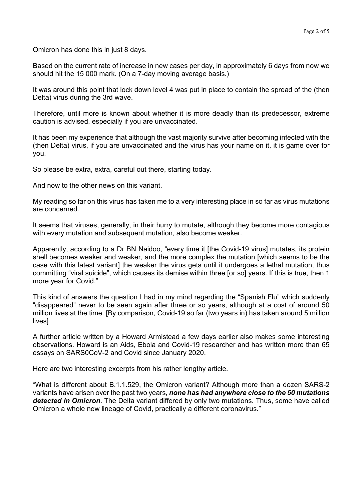Omicron has done this in just 8 days.

Based on the current rate of increase in new cases per day, in approximately 6 days from now we should hit the 15 000 mark. (On a 7-day moving average basis.)

It was around this point that lock down level 4 was put in place to contain the spread of the (then Delta) virus during the 3rd wave.

Therefore, until more is known about whether it is more deadly than its predecessor, extreme caution is advised, especially if you are unvaccinated.

It has been my experience that although the vast majority survive after becoming infected with the (then Delta) virus, if you are unvaccinated and the virus has your name on it, it is game over for you.

So please be extra, extra, careful out there, starting today.

And now to the other news on this variant.

My reading so far on this virus has taken me to a very interesting place in so far as virus mutations are concerned.

It seems that viruses, generally, in their hurry to mutate, although they become more contagious with every mutation and subsequent mutation, also become weaker.

Apparently, according to a Dr BN Naidoo, "every time it [the Covid-19 virus] mutates, its protein shell becomes weaker and weaker, and the more complex the mutation [which seems to be the case with this latest variant] the weaker the virus gets until it undergoes a lethal mutation, thus committing "viral suicide", which causes its demise within three [or so] years. If this is true, then 1 more year for Covid."

This kind of answers the question I had in my mind regarding the "Spanish Flu" which suddenly "disappeared" never to be seen again after three or so years, although at a cost of around 50 million lives at the time. [By comparison, Covid-19 so far (two years in) has taken around 5 million lives]

A further article written by a Howard Armistead a few days earlier also makes some interesting observations. Howard is an Aids, Ebola and Covid-19 researcher and has written more than 65 essays on SARS0CoV-2 and Covid since January 2020.

Here are two interesting excerpts from his rather lengthy article.

"What is different about B.1.1.529, the Omicron variant? Although more than a dozen SARS-2 variants have arisen over the past two years, *none has had anywhere close to the 50 mutations detected in Omicron*. The Delta variant differed by only two mutations. Thus, some have called Omicron a whole new lineage of Covid, practically a different coronavirus."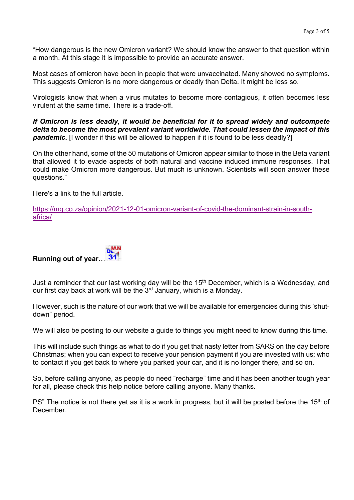"How dangerous is the new Omicron variant? We should know the answer to that question within a month. At this stage it is impossible to provide an accurate answer.

Most cases of omicron have been in people that were unvaccinated. Many showed no symptoms. This suggests Omicron is no more dangerous or deadly than Delta. It might be less so.

Virologists know that when a virus mutates to become more contagious, it often becomes less virulent at the same time. There is a trade-off.

*If Omicron is less deadly, it would be beneficial for it to spread widely and outcompete delta to become the most prevalent variant worldwide. That could lessen the impact of this*  **pandemic.** [I wonder if this will be allowed to happen if it is found to be less deadly?]

On the other hand, some of the 50 mutations of Omicron appear similar to those in the Beta variant that allowed it to evade aspects of both natural and vaccine induced immune responses. That could make Omicron more dangerous. But much is unknown. Scientists will soon answer these questions."

Here's a link to the full article.

https://mg.co.za/opinion/2021-12-01-omicron-variant-of-covid-the-dominant-strain-in-southafrica/

## **Running out of year**…

Just a reminder that our last working day will be the 15<sup>th</sup> December, which is a Wednesday, and our first day back at work will be the  $3<sup>rd</sup>$  January, which is a Monday.

However, such is the nature of our work that we will be available for emergencies during this 'shutdown" period.

We will also be posting to our website a guide to things you might need to know during this time.

This will include such things as what to do if you get that nasty letter from SARS on the day before Christmas; when you can expect to receive your pension payment if you are invested with us; who to contact if you get back to where you parked your car, and it is no longer there, and so on.

So, before calling anyone, as people do need "recharge" time and it has been another tough year for all, please check this help notice before calling anyone. Many thanks.

PS" The notice is not there yet as it is a work in progress, but it will be posted before the 15<sup>th</sup> of December.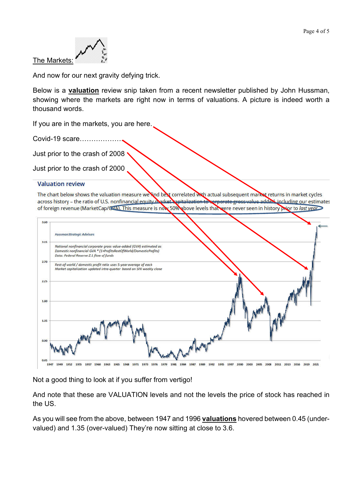

And now for our next gravity defying trick.

Below is a **valuation** review snip taken from a recent newsletter published by John Hussman, showing where the markets are right now in terms of valuations. A picture is indeed worth a thousand words.

If you are in the markets, you are here.

Covid-19 scare……………….

Just prior to the crash of 2008

Just prior to the crash of 2000

## **Valuation review**

The chart below shows the valuation measure we find best correlated with actual subsequent market returns in market cycles across history - the ratio of U.S. nonfinancial equity market repitalization to response gross value added including our estimates of foreign revenue (MarketCap/GVA). This measure is now 50% above levels that were never seen in history prior to last year



Not a good thing to look at if you suffer from vertigo!

And note that these are VALUATION levels and not the levels the price of stock has reached in the US.

As you will see from the above, between 1947 and 1996 **valuations** hovered between 0.45 (undervalued) and 1.35 (over-valued) They're now sitting at close to 3.6.